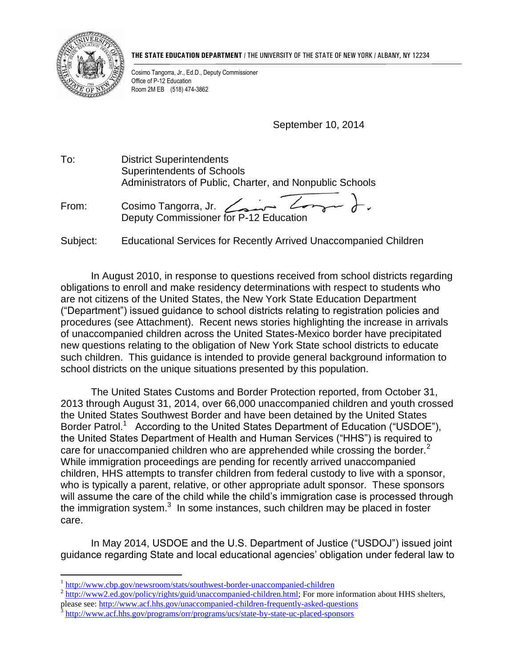

 $\overline{a}$ 

**THE STATE EDUCATION DEPARTMENT** / THE UNIVERSITY OF THE STATE OF NEW YORK / ALBANY, NY 12234

Cosimo Tangorra, Jr., Ed.D., Deputy Commissioner Office of P-12 Education Room 2M EB (518) 474-3862

September 10, 2014

To: District Superintendents Superintendents of Schools Administrators of Public, Charter, and Nonpublic Schools

From: Cosimo Tangorra, Jr. Deputy Commissioner for P-12 Education

Subject: Educational Services for Recently Arrived Unaccompanied Children

In August 2010, in response to questions received from school districts regarding obligations to enroll and make residency determinations with respect to students who are not citizens of the United States, the New York State Education Department ("Department") issued guidance to school districts relating to registration policies and procedures (see Attachment). Recent news stories highlighting the increase in arrivals of unaccompanied children across the United States-Mexico border have precipitated new questions relating to the obligation of New York State school districts to educate such children. This guidance is intended to provide general background information to school districts on the unique situations presented by this population.

The United States Customs and Border Protection reported, from October 31, 2013 through August 31, 2014, over 66,000 unaccompanied children and youth crossed the United States Southwest Border and have been detained by the United States Border Patrol.<sup>1</sup> According to the United States Department of Education ("USDOE"), the United States Department of Health and Human Services ("HHS") is required to care for unaccompanied children who are apprehended while crossing the border.<sup>2</sup> While immigration proceedings are pending for recently arrived unaccompanied children, HHS attempts to transfer children from federal custody to live with a sponsor, who is typically a parent, relative, or other appropriate adult sponsor. These sponsors will assume the care of the child while the child's immigration case is processed through the immigration system. $3$  In some instances, such children may be placed in foster care.

In May 2014, USDOE and the U.S. Department of Justice ("USDOJ") issued joint guidance regarding State and local educational agencies' obligation under federal law to

<sup>1</sup> <http://www.cbp.gov/newsroom/stats/southwest-border-unaccompanied-children>

<sup>&</sup>lt;sup>2</sup> [http://www2.ed.gov/policy/rights/guid/unaccompanied-children.html;](http://www2.ed.gov/policy/rights/guid/unaccompanied-children.html) For more information about HHS shelters,

please see:<http://www.acf.hhs.gov/unaccompanied-children-frequently-asked-questions>

<sup>3</sup> <http://www.acf.hhs.gov/programs/orr/programs/ucs/state-by-state-uc-placed-sponsors>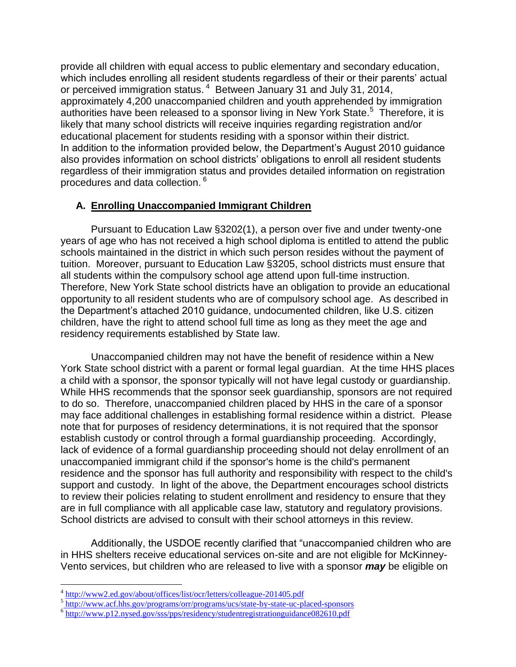provide all children with equal access to public elementary and secondary education, which includes enrolling all resident students regardless of their or their parents' actual or perceived immigration status.<sup>4</sup> Between January 31 and July 31, 2014, approximately 4,200 unaccompanied children and youth apprehended by immigration authorities have been released to a sponsor living in New York State.<sup>5</sup> Therefore, it is likely that many school districts will receive inquiries regarding registration and/or educational placement for students residing with a sponsor within their district. In addition to the information provided below, the Department's August 2010 guidance also provides information on school districts' obligations to enroll all resident students regardless of their immigration status and provides detailed information on registration procedures and data collection. <sup>6</sup>

## **A. Enrolling Unaccompanied Immigrant Children**

Pursuant to Education Law §3202(1), a person over five and under twenty-one years of age who has not received a high school diploma is entitled to attend the public schools maintained in the district in which such person resides without the payment of tuition. Moreover, pursuant to Education Law §3205, school districts must ensure that all students within the compulsory school age attend upon full-time instruction. Therefore, New York State school districts have an obligation to provide an educational opportunity to all resident students who are of compulsory school age. As described in the Department's attached 2010 guidance, undocumented children, like U.S. citizen children, have the right to attend school full time as long as they meet the age and residency requirements established by State law.

Unaccompanied children may not have the benefit of residence within a New York State school district with a parent or formal legal guardian. At the time HHS places a child with a sponsor, the sponsor typically will not have legal custody or guardianship. While HHS recommends that the sponsor seek guardianship, sponsors are not required to do so. Therefore, unaccompanied children placed by HHS in the care of a sponsor may face additional challenges in establishing formal residence within a district. Please note that for purposes of residency determinations, it is not required that the sponsor establish custody or control through a formal guardianship proceeding. Accordingly, lack of evidence of a formal guardianship proceeding should not delay enrollment of an unaccompanied immigrant child if the sponsor's home is the child's permanent residence and the sponsor has full authority and responsibility with respect to the child's support and custody. In light of the above, the Department encourages school districts to review their policies relating to student enrollment and residency to ensure that they are in full compliance with all applicable case law, statutory and regulatory provisions. School districts are advised to consult with their school attorneys in this review.

Additionally, the USDOE recently clarified that "unaccompanied children who are in HHS shelters receive educational services on-site and are not eligible for McKinney-Vento services, but children who are released to live with a sponsor *may* be eligible on

<sup>&</sup>lt;sup>4</sup> <http://www2.ed.gov/about/offices/list/ocr/letters/colleague-201405.pdf>

<sup>&</sup>lt;sup>5</sup>http://www.acf.hhs.gov/programs/orr/programs/ucs/state-by-state-uc-placed-sponsors

<sup>&</sup>lt;sup>6</sup> <http://www.p12.nysed.gov/sss/pps/residency/studentregistrationguidance082610.pdf>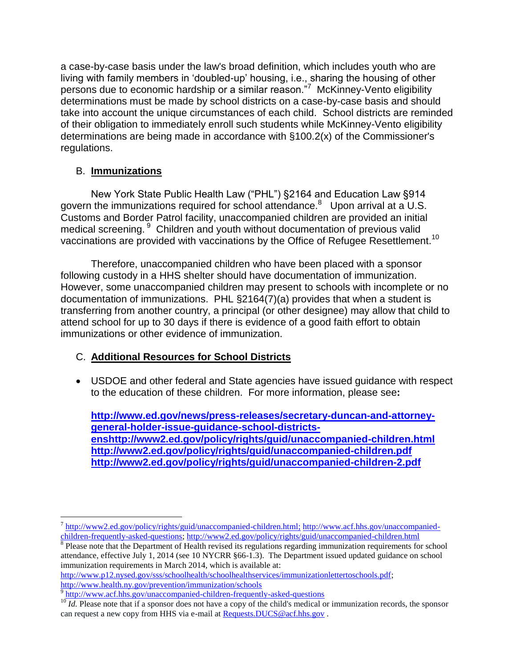a case-by-case basis under the law's broad definition, which includes youth who are living with family members in 'doubled-up' housing, i.e., sharing the housing of other persons due to economic hardship or a similar reason."<sup>7</sup> McKinney-Vento eligibility determinations must be made by school districts on a case-by-case basis and should take into account the unique circumstances of each child. School districts are reminded of their obligation to immediately enroll such students while McKinney-Vento eligibility determinations are being made in accordance with §100.2(x) of the Commissioner's regulations.

## B. **Immunizations**

New York State Public Health Law ("PHL") §2164 and Education Law §914 govern the immunizations required for school attendance. $8$  Upon arrival at a U.S. Customs and Border Patrol facility, unaccompanied children are provided an initial medical screening. <sup>9</sup> Children and youth without documentation of previous valid vaccinations are provided with vaccinations by the Office of Refugee Resettlement.<sup>10</sup>

Therefore, unaccompanied children who have been placed with a sponsor following custody in a HHS shelter should have documentation of immunization. However, some unaccompanied children may present to schools with incomplete or no documentation of immunizations. PHL §2164(7)(a) provides that when a student is transferring from another country, a principal (or other designee) may allow that child to attend school for up to 30 days if there is evidence of a good faith effort to obtain immunizations or other evidence of immunization.

## C. **Additional Resources for School Districts**

 USDOE and other federal and State agencies have issued guidance with respect to the education of these children. For more information, please see**:** 

**[http://www.ed.gov/news/press-releases/secretary-duncan-and-attorney](http://www.ed.gov/news/press-releases/secretary-duncan-and-attorney-general-holder-issue-guidance-school-districts-ens)[general-holder-issue-guidance-school-districts](http://www.ed.gov/news/press-releases/secretary-duncan-and-attorney-general-holder-issue-guidance-school-districts-ens)[enshttp://www2.ed.gov/policy/rights/guid/unaccompanied-children.html](http://www.ed.gov/news/press-releases/secretary-duncan-and-attorney-general-holder-issue-guidance-school-districts-ens)  <http://www2.ed.gov/policy/rights/guid/unaccompanied-children.pdf> <http://www2.ed.gov/policy/rights/guid/unaccompanied-children-2.pdf>**

<sup>8</sup> Please note that the Department of Health revised its regulations regarding immunization requirements for school attendance, effective July 1, 2014 (see 10 NYCRR §66-1.3). The Department issued updated guidance on school immunization requirements in March 2014, which is available at:

[http://www.p12.nysed.gov/sss/schoolhealth/schoolhealthservices/immunizationlettertoschools.pdf;](http://www.p12.nysed.gov/sss/schoolhealth/schoolhealthservices/immunizationlettertoschools.pdf) <http://www.health.ny.gov/prevention/immunization/schools> <sup>9</sup> <http://www.acf.hhs.gov/unaccompanied-children-frequently-asked-questions>

 $\overline{a}$ <sup>7</sup> [http://www2.ed.gov/policy/rights/guid/unaccompanied-children.html;](http://www2.ed.gov/policy/rights/guid/unaccompanied-children.html) [http://www.acf.hhs.gov/unaccompanied](http://www.acf.hhs.gov/unaccompanied-children-frequently-asked-questions)[children-frequently-asked-questions;](http://www.acf.hhs.gov/unaccompanied-children-frequently-asked-questions)<http://www2.ed.gov/policy/rights/guid/unaccompanied-children.html>

<sup>&</sup>lt;sup>10</sup> *Id.* Please note that if a sponsor does not have a copy of the child's medical or immunization records, the sponsor can request a new copy from HHS via e-mail at Requests.DUCS@acf.hhs.gov.